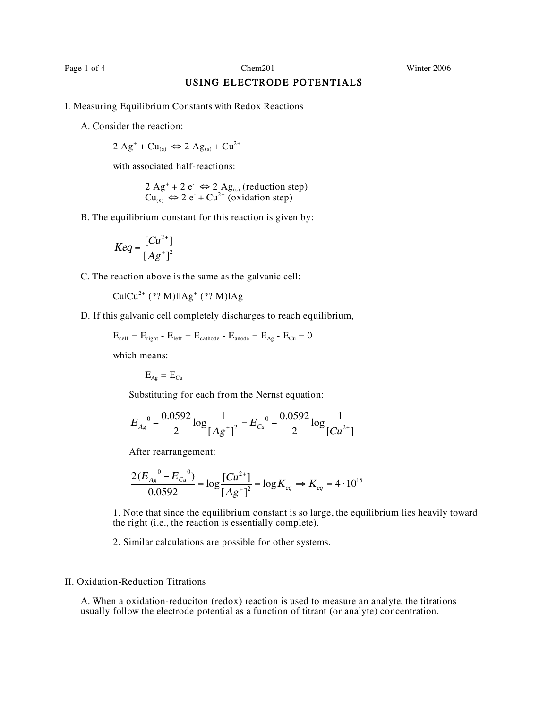Page 1 of 4 Chem201 Chem201 Winter 2006

## USING ELECTRODE POTENTIALS

- I. Measuring Equilibrium Constants with Redox Reactions
	- A. Consider the reaction:

2 Ag<sup>+</sup> + Cu<sub>(s)</sub>  $\Leftrightarrow$  2 Ag<sub>(s)</sub> + Cu<sup>2+</sup>

with associated half-reactions:

 $2 \text{ Ag}^+ + 2 \text{ e}^- \Leftrightarrow 2 \text{ Ag}_{(s)}$  (reduction step)  $Cu_{(s)} \Leftrightarrow 2 e^- + Cu^{2+}$  (oxidation step)

B. The equilibrium constant for this reaction is given by:

$$
Keq = \frac{[Cu^{2+}]}{[Ag^+]^2}
$$

C. The reaction above is the same as the galvanic cell:

 $CulCu<sup>2+</sup> (?? M)llAg<sup>+</sup> (?? M)lAg$ 

D. If this galvanic cell completely discharges to reach equilibrium,

$$
E_{cell} = E_{right} - E_{left} = E_{cathode} - E_{anode} = E_{Ag} - E_{Cu} = 0
$$

which means:

$$
E_{Ag} = E_{Cu}
$$

Substituting for each from the Nernst equation:

$$
E_{Ag}^{0} - \frac{0.0592}{2} \log \frac{1}{[Ag^+]^2} = E_{Cu}^{0} - \frac{0.0592}{2} \log \frac{1}{[Cu^{2+}]}
$$

After rearrangement:

$$
\frac{2(E_{Ag}^0 - E_{Cu}^0)}{0.0592} = \log \frac{[Cu^{2+}]}{[Ag^+]^2} = \log K_{eq} \Rightarrow K_{eq} = 4.10^{15}
$$

1. Note that since the equilibrium constant is so large, the equilibrium lies heavily toward the right (i.e., the reaction is essentially complete).

2. Similar calculations are possible for other systems.

## II. Oxidation-Reduction Titrations

A. When a oxidation-reduciton (redox) reaction is used to measure an analyte, the titrations usually follow the electrode potential as a function of titrant (or analyte) concentration.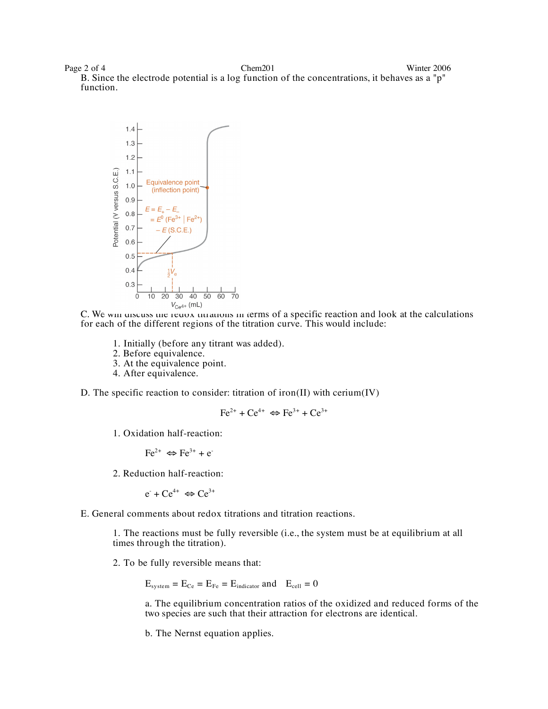Page 2 of 4 Chem201 Chem201 Winter 2006 B. Since the electrode potential is a log function of the concentrations, it behaves as a "p" function.



C. We will discuss the redox titrations in terms of a specific reaction and look at the calculations for each of the different regions of the titration curve. This would include:

- 1. Initially (before any titrant was added).
- 2. Before equivalence.
- 3. At the equivalence point.
- 4. After equivalence.

D. The specific reaction to consider: titration of iron(II) with cerium(IV)

$$
\text{Fe}^{2+} + \text{Ce}^{4+} \Leftrightarrow \text{Fe}^{3+} + \text{Ce}^{3+}
$$

1. Oxidation half-reaction:

$$
\text{Fe}^{2+} \Leftrightarrow \text{Fe}^{3+} + \text{e}^{-}
$$

2. Reduction half-reaction:

 $e^+ + Ce^{4+} \Leftrightarrow Ce^{3+}$ 

E. General comments about redox titrations and titration reactions.

1. The reactions must be fully reversible (i.e., the system must be at equilibrium at all times through the titration).

2. To be fully reversible means that:

 $E_{system} = E_{Ce} = E_{Fe} = E_{indication}$  and  $E_{cell} = 0$ 

a. The equilibrium concentration ratios of the oxidized and reduced forms of the two species are such that their attraction for electrons are identical.

b. The Nernst equation applies.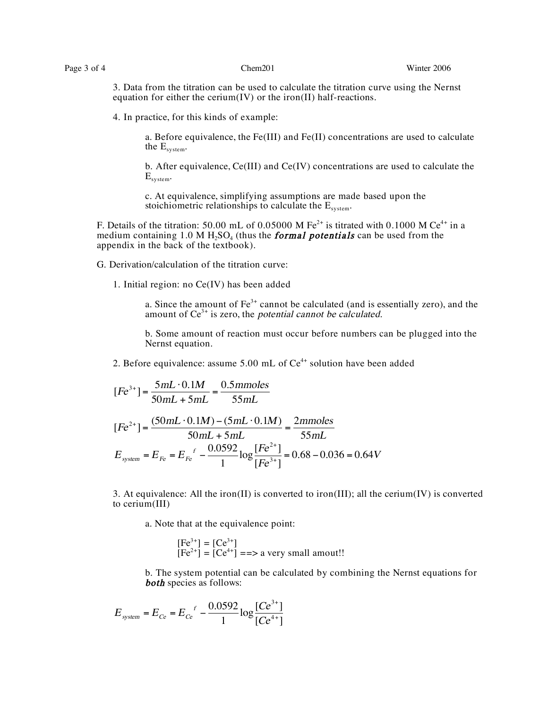3. Data from the titration can be used to calculate the titration curve using the Nernst equation for either the cerium(IV) or the iron(II) half-reactions.

4. In practice, for this kinds of example:

a. Before equivalence, the Fe(III) and Fe(II) concentrations are used to calculate the Esystem.

b. After equivalence, Ce(III) and Ce(IV) concentrations are used to calculate the  $E_{system}$ .

c. At equivalence, simplifying assumptions are made based upon the stoichiometric relationships to calculate the  $E_{system}$ .

F. Details of the titration: 50.00 mL of 0.05000 M Fe<sup>2+</sup> is titrated with 0.1000 M Ce<sup>4+</sup> in a medium containing 1.0 M  $H_2SO_4$  (thus the **formal potentials** can be used from the appendix in the back of the textbook).

G. Derivation/calculation of the titration curve:

1. Initial region: no Ce(IV) has been added

a. Since the amount of  $Fe^{3+}$  cannot be calculated (and is essentially zero), and the amount of  $Ce^{3+}$  is zero, the *potential cannot be calculated*.

b. Some amount of reaction must occur before numbers can be plugged into the Nernst equation.

2. Before equivalence: assume  $5.00$  mL of  $Ce<sup>4+</sup>$  solution have been added

$$
[Fe^{3+}] = \frac{5mL \cdot 0.1M}{50mL + 5mL} = \frac{0.5 \text{mmoles}}{55mL}
$$

$$
[Fe^{2+}] = \frac{(50mL \cdot 0.1M) - (5mL \cdot 0.1M)}{50mL + 5mL} = \frac{2 \text{mmoles}}{55mL}
$$

$$
E_{\text{system}} = E_{Fe} = E_{Fe}^f - \frac{0.0592}{1} \log \frac{[Fe^{2+}]}{[Fe^{3+}]} = 0.68 - 0.036 = 0.64V
$$

3. At equivalence: All the iron(II) is converted to iron(III); all the cerium(IV) is converted to cerium(III)

a. Note that at the equivalence point:

$$
[Fe3+] = [Ce3+]
$$
  
[Fe<sup>2+</sup>] = [Ce<sup>4+</sup>] ==> a very small amount!!

b. The system potential can be calculated by combining the Nernst equations for **both** species as follows:

$$
E_{system} = E_{Ce} = E_{Ce}^f - \frac{0.0592}{1} \log \frac{[Ce^{3+}]}{[Ce^{4+}]}
$$